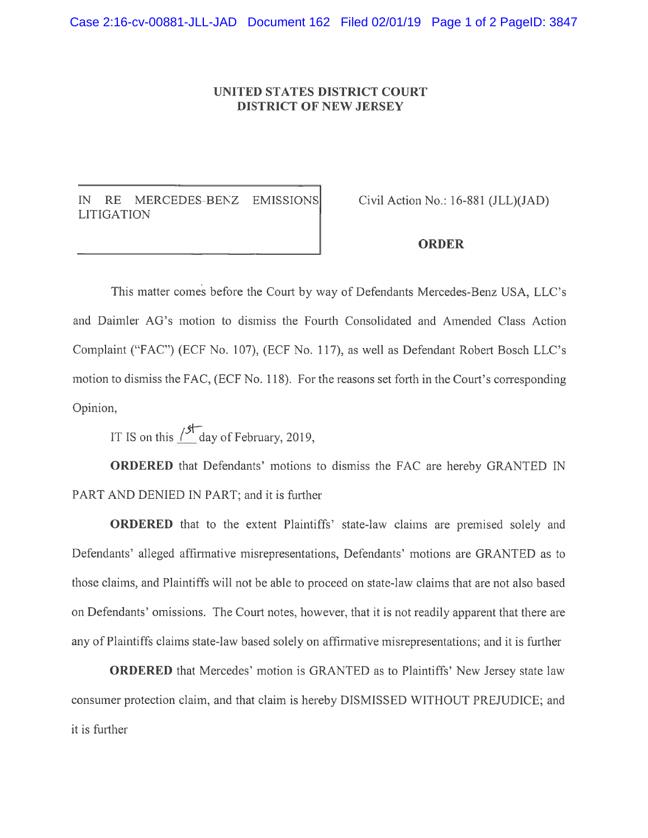## UNITED STATES DISTRICT COURT DISTRICT Of NEW JERSEY

IN RE MERCEDES-BENZ EMISSIONS Civil Action No.: 16-881 (JLL)(JAD) LITIGATION

## ORDER

This matter comes before the Court by way of Defendants Mercedes-Benz USA, LLC's and Daimler AG's motion to dismiss the Fourth Consolidated and Amended Class Action Complaint ('FAC") (ECF No. 107), (ECf No. 117), as well as Defendant Robert Bosch LIC's motion to dismiss the FAC, (ECF No. 118). For the reasons set forth in the Court's corresponding Opinion,

IT IS on this  $15\frac{11}{100}$  day of February, 2019,

ORDERED that Defendants' motions to dismiss the FAC are hereby GRANTED iN PART AND DENIED IN PART; and it is further

ORDERED that to the extent Plaintiffs' state-law claims are premised solely and Defendants' alleged affirmative misrepresentations, Defendants' motions are GRANTED as to those claims, and Plaintiffs will not be able to proceed on state-law claims that are not also based on Defendants' omissions. The Court notes, however, that it is not readily apparent that there are any of Plaintiffs claims state-law based solely on affirmative misrepresentations; and it is further

ORDERED that Mercedes' motion is GRANTED as to Plaintiffs' New Jersey state law consumer protection claim, and that claim is hereby DISMISSED WITHOUT PREJUDICE; and it is further